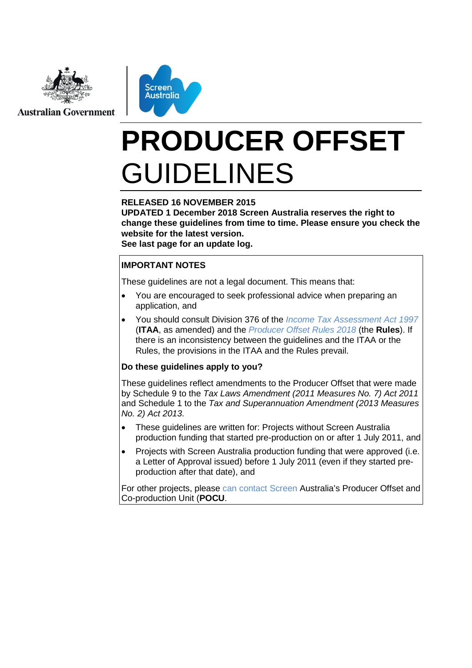

**Australian Government** 



# **PRODUCER OFFSET** GUIDELINES

#### **RELEASED 16 NOVEMBER 2015**

**UPDATED 1 December 2018 Screen Australia reserves the right to change these guidelines from time to time. Please ensure you check the website for the latest version.**

**See last page for an update log.** 

#### **IMPORTANT NOTES**

These guidelines are not a legal document. This means that:

- You are encouraged to seek professional advice when preparing an application, and
- You should consult Division 376 of the *[Income Tax Assessment Act 1997](http://www.screenaustralia.gov.au/funding-and-support/producer-offset/document-library#cclegislation)* (**ITAA**, as amended) and the *[Producer Offset Rules 2018](http://www.screenaustralia.gov.au/funding-and-support/producer-offset/document-library#cclegislation)* (the **Rules**). If there is an inconsistency between the guidelines and the ITAA or the Rules, the provisions in the ITAA and the Rules prevail.

#### **Do these guidelines apply to you?**

These guidelines reflect amendments to the Producer Offset that were made by Schedule 9 to the *Tax Laws Amendment (2011 Measures No. 7) Act 2011* and Schedule 1 to the *Tax and Superannuation Amendment (2013 Measures No. 2) Act 2013*.

- These quidelines are written for: Projects without Screen Australia production funding that started pre-production on or after 1 July 2011, and
- Projects with Screen Australia production funding that were approved (i.e. a Letter of Approval issued) before 1 July 2011 (even if they started preproduction after that date), and

For other projects, please can contact Screen [Australia's Producer Offset and](#page-3-0)  [Co-production Unit \(](#page-3-0)**POCU**.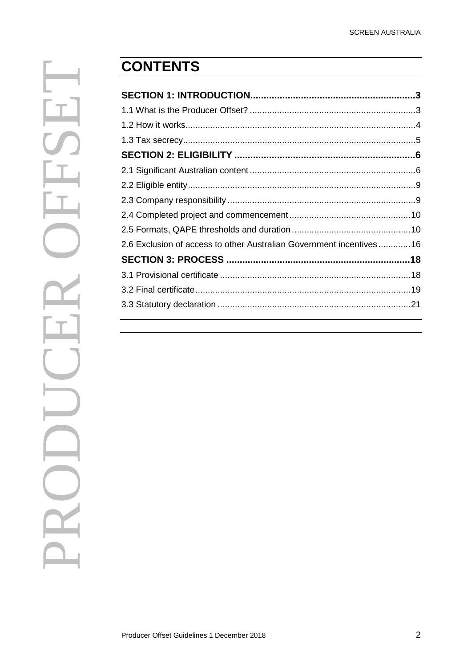| 2.6 Exclusion of access to other Australian Government incentives16 |  |
|---------------------------------------------------------------------|--|
|                                                                     |  |
|                                                                     |  |
|                                                                     |  |
|                                                                     |  |
|                                                                     |  |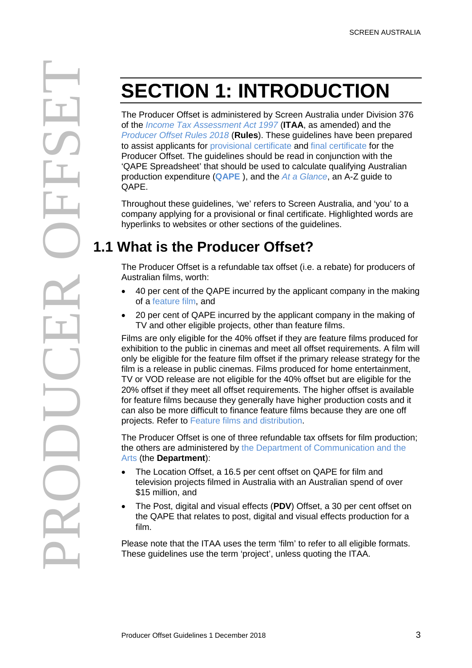<span id="page-2-0"></span>The Producer Offset is administered by Screen Australia under Division 376 of the *[Income Tax Assessment Act 1997](http://www.screenaustralia.gov.au/funding-and-support/producer-offset/document-library#cclegislation)* (**ITAA**, as amended) and the *[Producer Offset Rules 2018](http://www.screenaustralia.gov.au/funding-and-support/producer-offset/document-library#cclegislation)* (**Rules**). These guidelines have been prepared to assist applicants for [provisional certificate a](#page-17-2)nd [final certificate](#page-18-1) for the Producer Offset. The guidelines should be read in conjunction with the 'QAPE Spreadsheet' that should be used to calculate qualifying Australian production expenditure (**[QAPE](#page-10-0)** ), and the *[At a Glance](http://www.screenaustralia.gov.au/funding-and-support/producer-offset/document-library#ccguides)*, an A-Z guide to QAPE.

Throughout these guidelines, 'we' refers to Screen Australia, and 'you' to a company applying for a provisional or final certificate. Highlighted words are hyperlinks to websites or other sections of the guidelines.

# <span id="page-2-1"></span>**1.1 What is the Producer Offset?**

The Producer Offset is a refundable tax offset (i.e. a rebate) for producers of Australian films, worth:

- 40 per cent of the QAPE incurred by the applicant company in the making of a feature film, and
- 20 per cent of QAPE incurred by the applicant company in the making of TV and other eligible projects, other than feature films.

**EXECTION 1: INTRODUCTION**<br>
The Producer Offset is submitted by Scenar Australia under Division and the moon Fox Assessment Act (1997 (ITAA, as amended) and the model and the model and the model and the contrast operation Films are only eligible for the 40% offset if they are feature films produced for exhibition to the public in cinemas and meet all offset requirements. A film will only be eligible for the feature film offset if the primary release strategy for the film is a release in public cinemas. Films produced for home entertainment, TV or VOD release are not eligible for the 40% offset but are eligible for the 20% offset if they meet all offset requirements. The higher offset is available for feature films because they generally have higher production costs and it can also be more difficult to finance feature films because they are one off projects. Refer to [Feature films and distribution.](#page-12-0)

The Producer Offset is one of three refundable tax offsets for film production; the others are administered by [the Department of Communication and the](http://www.arts.gov.au/film-tv/australian-screen-production-incentive)  [Arts \(](http://www.arts.gov.au/film-tv/australian-screen-production-incentive)the **Department**):

- The Location Offset, a 16.5 per cent offset on QAPE for film and television projects filmed in Australia with an Australian spend of over \$15 million, and
- The Post, digital and visual effects (**PDV**) Offset, a 30 per cent offset on the QAPE that relates to post, digital and visual effects production for a film.

Please note that the ITAA uses the term 'film' to refer to all eligible formats. These guidelines use the term 'project', unless quoting the ITAA.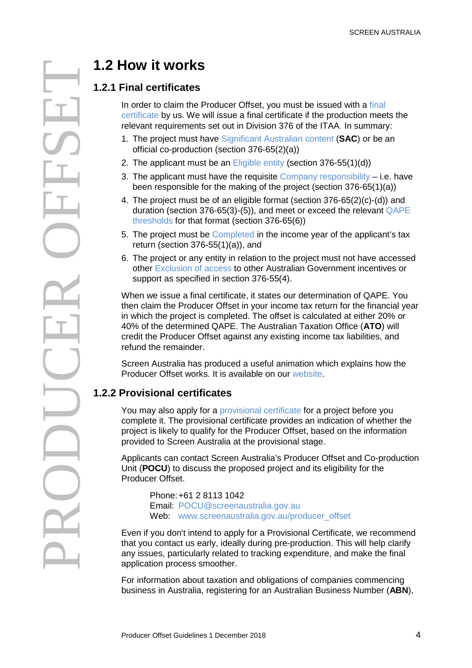### <span id="page-3-1"></span>**1.2.1 Final certificates**

In order to claim the Producer Offset, you must be issued with a [final](#page-18-1)  [certificate](#page-18-1) by us. We will issue a final certificate if the production meets the relevant requirements set out in Division 376 of the ITAA. In summary:

- 1. The project must have [Significant Australian content](#page-5-2) (**SAC**) or be an official co-production (section 376-65(2)(a))
- 2. The applicant must be an [Eligible entity](#page-8-2) (section 376-55(1)(d))
- 3. The applicant must have the requisite [Company responsibility](#page-8-3) i.e. have been responsible for the making of the project (section 376-65(1)(a))
- 4. The project must be of an eligible format (section 376-65(2)(c)-(d)) and duration (section 376-65(3)-(5)), and meet or exceed the relevant [QAPE](#page-11-0)  [thresholds](#page-11-0) for that format (section 376-65(6))
- 5. The project must be [Completed](#page-9-2) in the income year of the applicant's tax return (section  $376-55(1)(a)$ ), and
- 6. The project or any entity in relation to the project must not have accessed other Exclusion of access [to other Australian Government](#page-15-1) incentives or support as specified in section 376-55(4).

When we issue a final certificate, it states our determination of QAPE. You then claim the Producer Offset in your income tax return for the financial year in which the project is completed. The offset is calculated at either 20% or 40% of the determined QAPE. The Australian Taxation Office (**ATO**) will credit the Producer Offset against any existing income tax liabilities, and refund the remainder.

Screen Australia has produced a useful animation which explains how the Producer Offset works. It is available on our [website.](http://www.screenaustralia.gov.au/producer_offset/offset101.aspx)

### **1.2.2 Provisional certificates**

You may also apply for a [provisional certificate](#page-17-2) for a project before you complete it. The provisional certificate provides an indication of whether the project is likely to qualify for the Producer Offset, based on the information provided to Screen Australia at the provisional stage.

<span id="page-3-0"></span>Applicants can contact Screen Australia's Producer Offset and Co-production Unit (**POCU**) to discuss the proposed project and its eligibility for the Producer Offset.

Phone:+61 2 8113 1042 Email: [POCU@screenaustralia.gov.au](mailto:pocu@screenaustralia.gov.au) Web: [www.screenaustralia.gov.au/producer\\_offset](http://www.screenaustralia.gov.au/producer_offset)

Even if you don't intend to apply for a Provisional Certificate, we recommend that you contact us early, ideally during pre-production. This will help clarify any issues, particularly related to tracking expenditure, and make the final application process smoother.

For information about taxation and obligations of companies commencing business in Australia, registering for an Australian Business Number (**ABN**),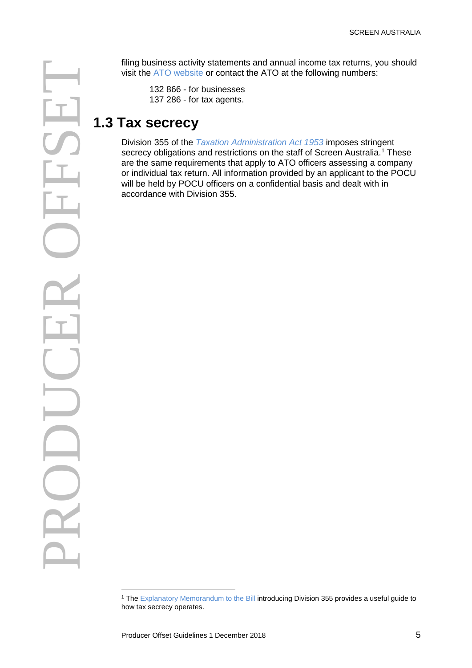Watches a colly statements and annual income tax returns, you should<br>the XTO whole or connect the XTO at the following rumbers:<br>132 866 - for tax agents.<br>13 **Tax Secrecy**<br>Division 355 of the Tax returns and restrictions on

visit the [ATO website](http://www.ato.gov.au/) or contact the ATO at the following numbers:

132 866 - for businesses 137 286 - for tax agents.

# <span id="page-4-0"></span>**1.3 Tax secrecy**

Division 355 of the *[Taxation Administration Act 1953](http://www.comlaw.gov.au/Details/C2015C00220/Html/Volume_2#_Toc417556717)* imposes stringent secrecy obligations and restrictions on the staff of Screen Australia.<sup>[1](#page-4-1)</sup> These are the same requirements that apply to ATO officers assessing a company or individual tax return. All information provided by an applicant to the POCU will be held by POCU officers on a confidential basis and dealt with in accordance with Division 355.

 $\overline{a}$ 

<span id="page-4-1"></span><sup>&</sup>lt;sup>1</sup> The [Explanatory Memorandum to the Bill](http://www.comlaw.gov.au/Details/C2010B00186/1e3ca5a7-9bc5-40be-bd03-cb93ad1bbe0b) introducing Division 355 provides a useful guide to how tax secrecy operates.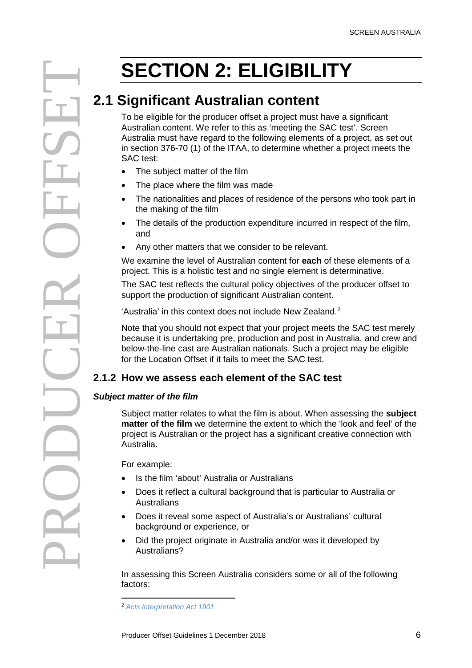## <span id="page-5-2"></span><span id="page-5-1"></span><span id="page-5-0"></span>**2.1 Significant Australian content**

**ELIGIBILITY**<br>
2.1 **Significant Australian content**<br>
To be eligible for the producer offset a project must have a significant content. We retro this as meeting the SAC test and that is considered by the significant of the To be eligible for the producer offset a project must have a significant Australian content. We refer to this as 'meeting the SAC test'. Screen Australia must have regard to the following elements of a project, as set out in section 376-70 (1) of the ITAA, to determine whether a project meets the SAC test:

- The subject matter of the film
- The place where the film was made
- The nationalities and places of residence of the persons who took part in the making of the film
- The details of the production expenditure incurred in respect of the film, and
- Any other matters that we consider to be relevant.

We examine the level of Australian content for **each** of these elements of a project. This is a holistic test and no single element is determinative.

The SAC test reflects the cultural policy objectives of the producer offset to support the production of significant Australian content.

'Australia' in this context does not include New Zealand.<sup>[2](#page-5-3)</sup>

Note that you should not expect that your project meets the SAC test merely because it is undertaking pre, production and post in Australia, and crew and below-the-line cast are Australian nationals. Such a project may be eligible for the Location Offset if it fails to meet the SAC test.

### **2.1.2 How we assess each element of the SAC test**

#### *Subject matter of the film*

Subject matter relates to what the film is about. When assessing the **subject matter of the film** we determine the extent to which the 'look and feel' of the project is Australian or the project has a significant creative connection with Australia.

For example:

- Is the film 'about' Australia or Australians
- Does it reflect a cultural background that is particular to Australia or **Australians**
- Does it reveal some aspect of Australia's or Australians' cultural background or experience, or
- Did the project originate in Australia and/or was it developed by Australians?

In assessing this Screen Australia considers some or all of the following factors:

<span id="page-5-3"></span> $\overline{a}$ <sup>2</sup> *[Acts Interpretation Act 1901](http://www.comlaw.gov.au/Details/C2015C00090/Html/Text#_Toc413423895)*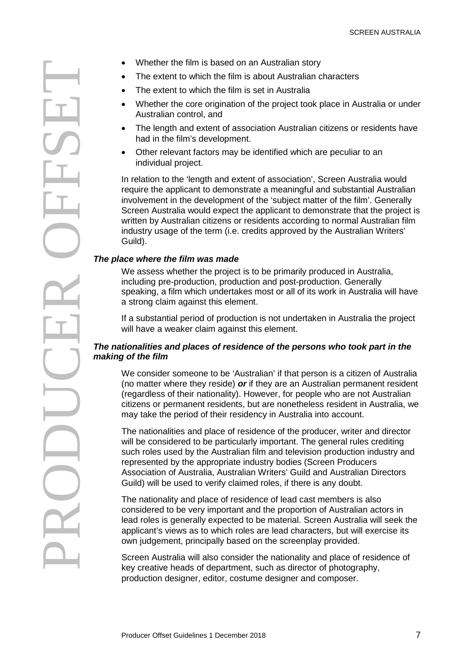- The extent to which the film is about Australian characters
- The extent to which the film is set in Australia
- Whether the core origination of the project took place in Australia or under Australian control, and
- The length and extent of association Australian citizens or residents have had in the film's development.
- Other relevant factors may be identified which are peculiar to an individual project.

In relation to the 'length and extent of association', Screen Australia would require the applicant to demonstrate a meaningful and substantial Australian involvement in the development of the 'subject matter of the film'. Generally Screen Australia would expect the applicant to demonstrate that the project is written by Australian citizens or residents according to normal Australian film industry usage of the term (i.e. credits approved by the Australian Writers' Guild).

#### *The place where the film was made*

We assess whether the project is to be primarily produced in Australia, including pre-production, production and post-production. Generally speaking, a film which undertakes most or all of its work in Australia will have a strong claim against this element.

If a substantial period of production is not undertaken in Australia the project will have a weaker claim against this element.

#### *The nationalities and places of residence of the persons who took part in the making of the film*

We consider someone to be 'Australian' if that person is a citizen of Australia (no matter where they reside) *or* if they are an Australian permanent resident (regardless of their nationality). However, for people who are not Australian citizens or permanent residents, but are nonetheless resident in Australia, we may take the period of their residency in Australia into account.

The nationalities and place of residence of the producer, writer and director will be considered to be particularly important. The general rules crediting such roles used by the Australian film and television production industry and represented by the appropriate industry bodies (Screen Producers Association of Australia, Australian Writers' Guild and Australian Directors Guild) will be used to verify claimed roles, if there is any doubt.

The nationality and place of residence of lead cast members is also considered to be very important and the proportion of Australian actors in lead roles is generally expected to be material. Screen Australia will seek the applicant's views as to which roles are lead characters, but will exercise its own judgement, principally based on the screenplay provided.

Screen Australia will also consider the nationality and place of residence of key creative heads of department, such as director of photography, production designer, editor, costume designer and composer.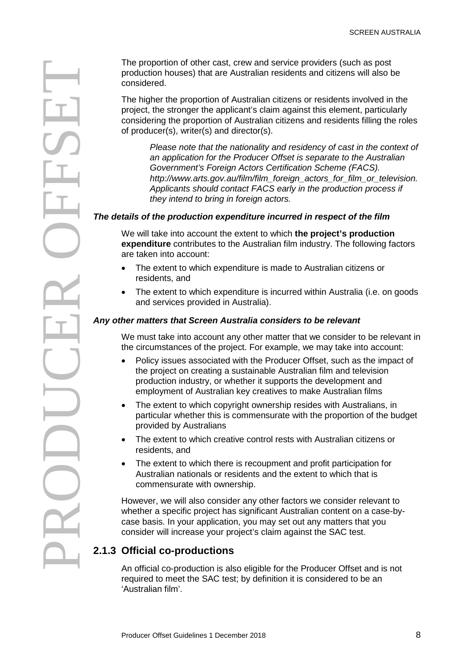production houses) that are Australian residents and citizens will also be considered.

The higher the proportion of Australian citizens or residents involved in the project, the stronger the applicant's claim against this element, particularly considering the proportion of Australian citizens and residents filling the roles of producer(s), writer(s) and director(s).

*Please note that the nationality and residency of cast in the context of an application for the Producer Offset is separate to the Australian Government's Foreign Actors Certification Scheme (FACS). http://www.arts.gov.au/film/film\_foreign\_actors\_for\_film\_or\_television. Applicants should contact FACS early in the production process if they intend to bring in foreign actors.* 

#### *The details of the production expenditure incurred in respect of the film*

We will take into account the extent to which **the project's production expenditure** contributes to the Australian film industry. The following factors are taken into account:

- The extent to which expenditure is made to Australian citizens or residents, and
- The extent to which expenditure is incurred within Australia (i.e. on goods and services provided in Australia).

#### *Any other matters that Screen Australia considers to be relevant*

We must take into account any other matter that we consider to be relevant in the circumstances of the project. For example, we may take into account:

- Policy issues associated with the Producer Offset, such as the impact of the project on creating a sustainable Australian film and television production industry, or whether it supports the development and employment of Australian key creatives to make Australian films
- The extent to which copyright ownership resides with Australians, in particular whether this is commensurate with the proportion of the budget provided by Australians
- The extent to which creative control rests with Australian citizens or residents, and
- The extent to which there is recoupment and profit participation for Australian nationals or residents and the extent to which that is commensurate with ownership.

However, we will also consider any other factors we consider relevant to whether a specific project has significant Australian content on a case-bycase basis. In your application, you may set out any matters that you consider will increase your project's claim against the SAC test.

### **2.1.3 Official co-productions**

<span id="page-7-0"></span>An official co-production is also eligible for the Producer Offset and is not required to meet the SAC test; by definition it is considered to be an 'Australian film'.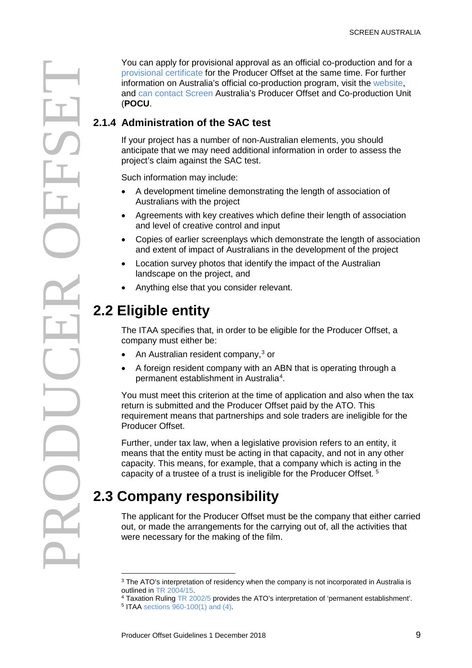Providend correlation and for a providend approach as an official co-production and for an official correlation of the SAC test<br> **Providend co-maximalis a** co-production program, was the website, and can consider a co-pr

[provisional certificate](#page-17-2) for the Producer Offset at the same time. For further information on Australia's official co-production program, visit the [website,](http://www.screenaustralia.gov.au/coproductions) and can contact Screen [Australia's Producer Offset and Co-production Unit](#page-3-0)  (**[POCU](#page-3-0)**.

### **2.1.4 Administration of the SAC test**

If your project has a number of non-Australian elements, you should anticipate that we may need additional information in order to assess the project's claim against the SAC test.

Such information may include:

- A development timeline demonstrating the length of association of Australians with the project
- Agreements with key creatives which define their length of association and level of creative control and input
- Copies of earlier screenplays which demonstrate the length of association and extent of impact of Australians in the development of the project
- Location survey photos that identify the impact of the Australian landscape on the project, and
- <span id="page-8-2"></span>• Anything else that you consider relevant.

# <span id="page-8-0"></span>**2.2 Eligible entity**

The ITAA specifies that, in order to be eligible for the Producer Offset, a company must either be:

- An Australian resident company,<sup>[3](#page-8-4)</sup> or
- A foreign resident company with an ABN that is operating through a permanent establishment in Australia<sup>[4](#page-8-5)</sup>.

You must meet this criterion at the time of application and also when the tax return is submitted and the Producer Offset paid by the ATO. This requirement means that partnerships and sole traders are ineligible for the Producer Offset.

Further, under tax law, when a legislative provision refers to an entity, it means that the entity must be acting in that capacity, and not in any other capacity. This means, for example, that a company which is acting in the capacity of a trustee of a trust is ineligible for the Producer Offset. [5](#page-8-6)

# <span id="page-8-3"></span><span id="page-8-1"></span>**2.3 Company responsibility**

The applicant for the Producer Offset must be the company that either carried out, or made the arrangements for the carrying out of, all the activities that were necessary for the making of the film.

 $\overline{a}$ 

<sup>&</sup>lt;sup>3</sup> The ATO's interpretation of residency when the company is not incorporated in Australia is outlined i[n TR 2004/15.](http://law.ato.gov.au/pdf/pbr/tr2004-015.pdf)

<sup>4</sup> Taxation Ruling [TR 2002/5](http://law.ato.gov.au/atolaw/DownloadNoticePDF.htm?DocId=TXR%2FTR20025%2FNAT%2FATO%2F00001&filename=pdf/pbr/tr2002-005c1.pdf&PiT=99991231235958) provides the ATO's interpretation of 'permanent establishment'.

<span id="page-8-6"></span><span id="page-8-5"></span><span id="page-8-4"></span><sup>5</sup> ITAA [sections 960-100\(1\) and \(4\).](https://www.comlaw.gov.au/Details/C2015C00285/Html/Volume_9#_Toc423347890)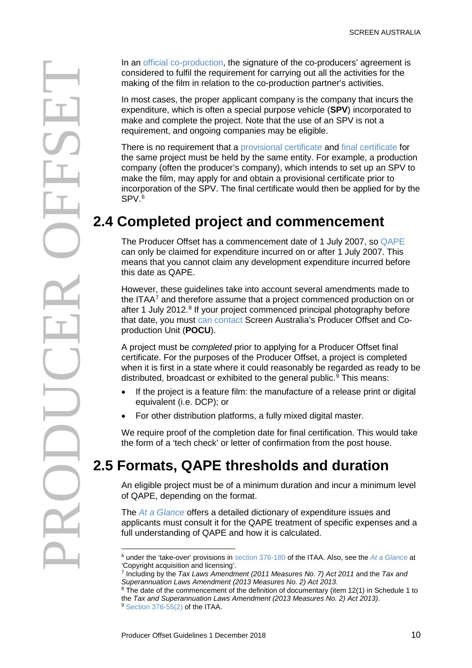From other than the method of the co-production parties activities.<br>
The signature of the minimization that the signature of the co-production parties and the minimization correlation correlation correlation of the co-prod

considered to fulfil the requirement for carrying out all the activities for the making of the film in relation to the co-production partner's activities.

In most cases, the proper applicant company is the company that incurs the expenditure, which is often a special purpose vehicle (**SPV**) incorporated to make and complete the project. Note that the use of an SPV is not a requirement, and ongoing companies may be eligible.

There is no requirement that a [provisional certificate](#page-17-2) and [final certificate](#page-18-1) for the same project must be held by the same entity. For example, a production company (often the producer's company), which intends to set up an SPV to make the film, may apply for and obtain a provisional certificate prior to incorporation of the SPV. The final certificate would then be applied for by the SPV.[6](#page-9-3)

# <span id="page-9-2"></span><span id="page-9-0"></span>**2.4 Completed project and commencement**

The Producer Offset has a commencement date of 1 July 2007, so [QAPE](#page-10-0) can only be claimed for expenditure incurred on or after 1 July 2007. This means that you cannot claim any development expenditure incurred before this date as QAPE.

However, these guidelines take into account several amendments made to the ITAA<sup>7</sup> and therefore assume that a project commenced production on or after 1 July 2012.<sup>[8](#page-9-5)</sup> If your project commenced principal photography before that date, you must can contact [Screen Australia's Producer Offset and Co](#page-3-0)[production Unit](#page-3-0) (**POCU**).

A project must be *completed* prior to applying for a Producer Offset final certificate. For the purposes of the Producer Offset, a project is completed when it is first in a state where it could reasonably be regarded as ready to be distributed, broadcast or exhibited to the general public.<sup>[9](#page-9-6)</sup> This means:

- If the project is a feature film: the manufacture of a release print or digital equivalent (i.e. DCP); or
- For other distribution platforms, a fully mixed digital master.

We require proof of the completion date for final certification. This would take the form of a 'tech check' or letter of confirmation from the post house.

# <span id="page-9-1"></span>**2.5 Formats, QAPE thresholds and duration**

An eligible project must be of a minimum duration and incur a minimum level of QAPE, depending on the format.

The *[At a Glance](http://www.screenaustralia.gov.au/funding-and-support/producer-offset/document-library#ccguides)* offers a detailed dictionary of expenditure issues and applicants must consult it for the QAPE treatment of specific expenses and a full understanding of QAPE and how it is calculated.

 $\overline{a}$ 

<span id="page-9-3"></span><sup>6</sup> under the 'take-over' provisions in [section 376-180](https://www.comlaw.gov.au/Details/C2015C00285/Html/Volume_7#_Toc423342128) of the ITAA. Also, see the *[At a Glance](http://www.screenaustralia.gov.au/funding-and-support/producer-offset/document-library#ccguides)* at 'Copyright acquisition and licensing'.

<span id="page-9-4"></span><sup>7</sup> Including by the *Tax Laws Amendment (2011 Measures No. 7) Act 2011* and the *Tax and Superannuation Laws Amendment (2013 Measures No. 2) Act 2013*.

<span id="page-9-6"></span><span id="page-9-5"></span> $8$  The date of the commencement of the definition of documentary (item 12(1) in Schedule 1 to the *Tax and Superannuation Laws Amendment (2013 Measures No. 2) Act 2013)*. <sup>9</sup> [Section 376-55\(2\)](https://www.comlaw.gov.au/Details/C2015C00285/Html/Volume_7#_Toc423342105) of the ITAA.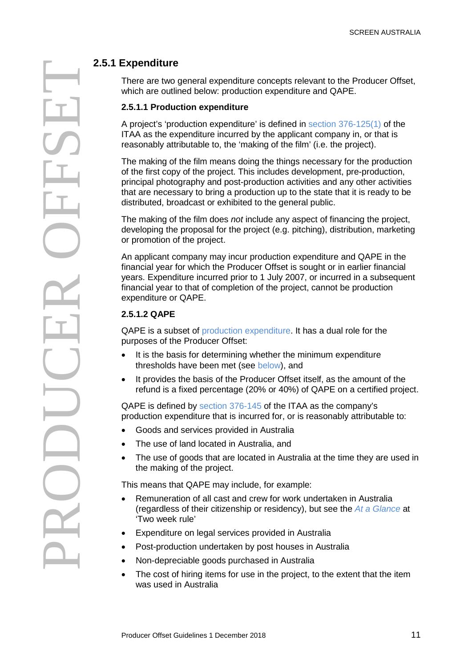There are two general expenditure concepts relevant to the Producer Offset, which are outlined below: production expenditure and QAPE.

#### <span id="page-10-1"></span>**2.5.1.1 Production expenditure**

A project's 'production expenditure' is defined in [section 376-125\(1\)](https://www.comlaw.gov.au/Details/C2015C00285/Html/Volume_7#_Toc423342112) of the ITAA as the expenditure incurred by the applicant company in, or that is reasonably attributable to, the 'making of the film' (i.e. the project).

The making of the film means doing the things necessary for the production of the first copy of the project. This includes development, pre-production, principal photography and post-production activities and any other activities that are necessary to bring a production up to the state that it is ready to be distributed, broadcast or exhibited to the general public.

The making of the film does *not* include any aspect of financing the project, developing the proposal for the project (e.g. pitching), distribution, marketing or promotion of the project.

An applicant company may incur production expenditure and QAPE in the financial year for which the Producer Offset is sought or in earlier financial years. Expenditure incurred prior to 1 July 2007, or incurred in a subsequent financial year to that of completion of the project, cannot be production expenditure or QAPE.

#### **2.5.1.2 QAPE**

<span id="page-10-0"></span>QAPE is a subset of [production expenditure.](#page-10-1) It has a dual role for the purposes of the Producer Offset:

- It is the basis for determining whether the minimum expenditure thresholds have been met (see [below\)](#page-11-0), and
- It provides the basis of the Producer Offset itself, as the amount of the refund is a fixed percentage (20% or 40%) of QAPE on a certified project.

QAPE is defined by [section 376-145](https://www.comlaw.gov.au/Details/C2015C00285/Html/Volume_7#_Toc423342118) of the ITAA as the company's production expenditure that is incurred for, or is reasonably attributable to:

- Goods and services provided in Australia
- The use of land located in Australia, and
- The use of goods that are located in Australia at the time they are used in the making of the project.

This means that QAPE may include, for example:

- Remuneration of all cast and crew for work undertaken in Australia (regardless of their citizenship or residency), but see the *[At a Glance](http://www.screenaustralia.gov.au/funding-and-support/producer-offset/document-library#ccguides)* at 'Two week rule'
- Expenditure on legal services provided in Australia
- Post-production undertaken by post houses in Australia
- Non-depreciable goods purchased in Australia
- The cost of hiring items for use in the project, to the extent that the item was used in Australia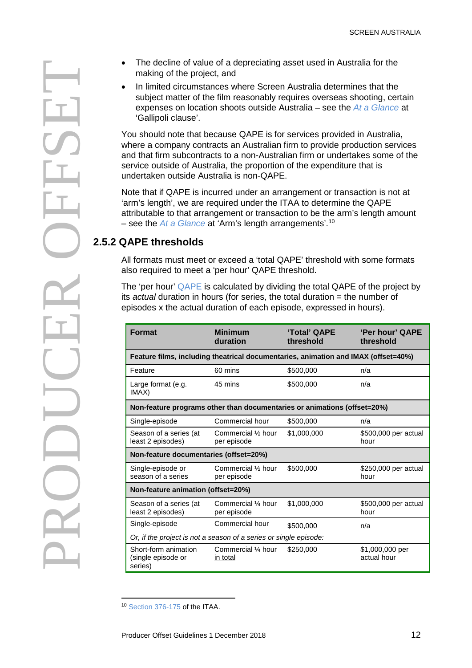### <span id="page-11-0"></span>**2.5.2 QAPE thresholds**

|                                                                                                                                                                                                                                                   | making of the project, and                                                                                                                                                                                                                                                                                                                                       |                                    | The decline of value of a depreciating asset used in Australia for the |                              |  |
|---------------------------------------------------------------------------------------------------------------------------------------------------------------------------------------------------------------------------------------------------|------------------------------------------------------------------------------------------------------------------------------------------------------------------------------------------------------------------------------------------------------------------------------------------------------------------------------------------------------------------|------------------------------------|------------------------------------------------------------------------|------------------------------|--|
| In limited circumstances where Screen Australia determines that the<br>subject matter of the film reasonably requires overseas shooting, certain<br>expenses on location shoots outside Australia – see the At a Glance at<br>'Gallipoli clause'. |                                                                                                                                                                                                                                                                                                                                                                  |                                    |                                                                        |                              |  |
|                                                                                                                                                                                                                                                   | You should note that because QAPE is for services provided in Australia,<br>where a company contracts an Australian firm to provide production services<br>and that firm subcontracts to a non-Australian firm or undertakes some of the<br>service outside of Australia, the proportion of the expenditure that is<br>undertaken outside Australia is non-QAPE. |                                    |                                                                        |                              |  |
|                                                                                                                                                                                                                                                   | Note that if QAPE is incurred under an arrangement or transaction is not at<br>'arm's length', we are required under the ITAA to determine the QAPE<br>attributable to that arrangement or transaction to be the arm's length amount<br>- see the $At a Glance$ at 'Arm's length arrangements'. <sup>10</sup>                                                    |                                    |                                                                        |                              |  |
|                                                                                                                                                                                                                                                   | 2.5.2 QAPE thresholds                                                                                                                                                                                                                                                                                                                                            |                                    |                                                                        |                              |  |
|                                                                                                                                                                                                                                                   | All formats must meet or exceed a 'total QAPE' threshold with some formats<br>also required to meet a 'per hour' QAPE threshold.                                                                                                                                                                                                                                 |                                    |                                                                        |                              |  |
|                                                                                                                                                                                                                                                   | The 'per hour' QAPE is calculated by dividing the total QAPE of the project by<br>its actual duration in hours (for series, the total duration = the number of<br>episodes x the actual duration of each episode, expressed in hours).                                                                                                                           |                                    |                                                                        |                              |  |
|                                                                                                                                                                                                                                                   |                                                                                                                                                                                                                                                                                                                                                                  |                                    |                                                                        |                              |  |
|                                                                                                                                                                                                                                                   | <b>Format</b>                                                                                                                                                                                                                                                                                                                                                    | <b>Minimum</b><br>duration         | 'Total' QAPE<br>threshold                                              | 'Per hour' QAPE<br>threshold |  |
|                                                                                                                                                                                                                                                   | Feature films, including theatrical documentaries, animation and IMAX (offset=40%)                                                                                                                                                                                                                                                                               |                                    |                                                                        |                              |  |
|                                                                                                                                                                                                                                                   | Feature                                                                                                                                                                                                                                                                                                                                                          | 60 mins                            | \$500,000                                                              | n/a                          |  |
|                                                                                                                                                                                                                                                   | Large format (e.g.<br>IMAX)                                                                                                                                                                                                                                                                                                                                      | 45 mins                            | \$500,000                                                              | n/a                          |  |
|                                                                                                                                                                                                                                                   | Non-feature programs other than documentaries or animations (offset=20%)                                                                                                                                                                                                                                                                                         |                                    |                                                                        |                              |  |
|                                                                                                                                                                                                                                                   | Single-episode                                                                                                                                                                                                                                                                                                                                                   | Commercial hour                    | \$500,000                                                              | n/a                          |  |
|                                                                                                                                                                                                                                                   | Season of a series (at<br>least 2 episodes)                                                                                                                                                                                                                                                                                                                      | Commercial 1/2 hour<br>per episode | \$1,000,000                                                            | \$500,000 per actual<br>hour |  |
|                                                                                                                                                                                                                                                   | Non-feature documentaries (offset=20%)                                                                                                                                                                                                                                                                                                                           |                                    |                                                                        |                              |  |
|                                                                                                                                                                                                                                                   | Single-episode or<br>season of a series                                                                                                                                                                                                                                                                                                                          | Commercial 1/2 hour<br>per episode | \$500,000                                                              | \$250,000 per actual<br>hour |  |
|                                                                                                                                                                                                                                                   | Non-feature animation (offset=20%)                                                                                                                                                                                                                                                                                                                               |                                    |                                                                        |                              |  |
|                                                                                                                                                                                                                                                   | Season of a series (at<br>least 2 episodes)                                                                                                                                                                                                                                                                                                                      | Commercial 1/4 hour<br>per episode | \$1,000,000                                                            | \$500,000 per actual<br>hour |  |
|                                                                                                                                                                                                                                                   | Single-episode                                                                                                                                                                                                                                                                                                                                                   | Commercial hour                    | \$500,000                                                              | n/a                          |  |
|                                                                                                                                                                                                                                                   | Or, if the project is not a season of a series or single episode:<br>Short-form animation                                                                                                                                                                                                                                                                        |                                    |                                                                        |                              |  |

<span id="page-11-1"></span> $\overline{a}$ <sup>10</sup> [Section 376-175](https://www.comlaw.gov.au/Details/C2015C00285/Html/Volume_7#_Toc423342127) of the ITAA.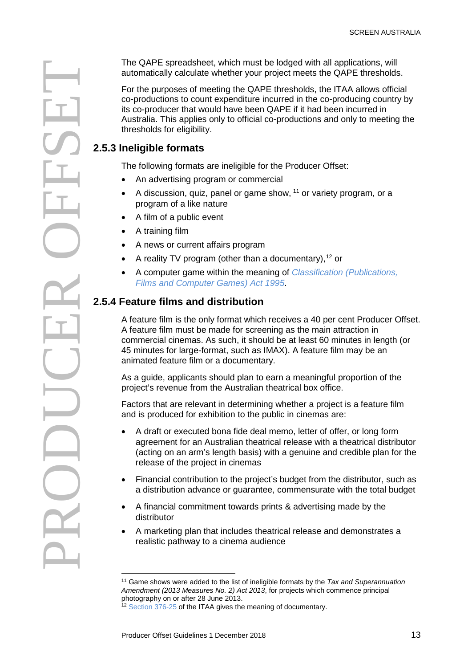The QAPE spreadsheet, which must be lodged with all applications, will reverse the matrix of the purposes of measurements of measurements of the conduction the conductions and only to moreology the conductions to connel by

automatically calculate whether your project meets the QAPE thresholds.

For the purposes of meeting the QAPE thresholds, the ITAA allows official co-productions to count expenditure incurred in the co-producing country by its co-producer that would have been QAPE if it had been incurred in Australia. This applies only to official co-productions and only to meeting the thresholds for eligibility.

### **2.5.3 Ineligible formats**

The following formats are ineligible for the Producer Offset:

- An advertising program or commercial
- A discussion, quiz, panel or game show,  $11$  or variety program, or a program of a like nature
- A film of a public event
- A training film
- A news or current affairs program
- A reality TV program (other than a documentary),<sup>[12](#page-12-2)</sup> or
- A computer game within the meaning of *[Classification \(Publications,](http://www.comlaw.gov.au/Details/C2015C00072/Html/Text#_Toc414363291)  [Films and Computer Games\) Act 1995](http://www.comlaw.gov.au/Details/C2015C00072/Html/Text#_Toc414363291)*.

### <span id="page-12-0"></span>**2.5.4 Feature films and distribution**

A feature film is the only format which receives a 40 per cent Producer Offset. A feature film must be made for screening as the main attraction in commercial cinemas. As such, it should be at least 60 minutes in length (or 45 minutes for large-format, such as IMAX). A feature film may be an animated feature film or a documentary.

As a guide, applicants should plan to earn a meaningful proportion of the project's revenue from the Australian theatrical box office.

Factors that are relevant in determining whether a project is a feature film and is produced for exhibition to the public in cinemas are:

- A draft or executed bona fide deal memo, letter of offer, or long form agreement for an Australian theatrical release with a theatrical distributor (acting on an arm's length basis) with a genuine and credible plan for the release of the project in cinemas
- Financial contribution to the project's budget from the distributor, such as a distribution advance or guarantee, commensurate with the total budget
- A financial commitment towards prints & advertising made by the distributor
- A marketing plan that includes theatrical release and demonstrates a realistic pathway to a cinema audience

 $\overline{a}$ 

<span id="page-12-2"></span><span id="page-12-1"></span><sup>11</sup> Game shows were added to the list of ineligible formats by the *Tax and Superannuation Amendment (2013 Measures No. 2) Act 2013*, for projects which commence principal photography on or after 28 June 2013.

<sup>&</sup>lt;sup>12</sup> [Section 376-25](https://www.comlaw.gov.au/Details/C2015C00285/Html/Volume_7#_Toc423342097) of the ITAA gives the meaning of documentary.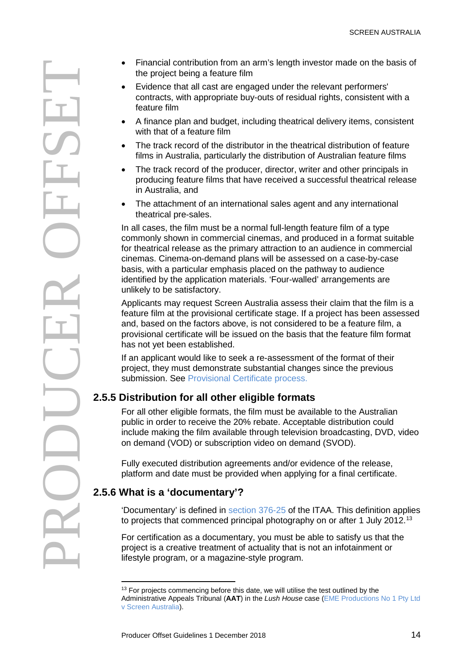Francial contribution from an arm's length investor made on the basis of<br>
Frederice that all cast are engaged under the relevant performers<br>
contrasts, with appropriate buy-outs of residual rights, consistent with<br>
exhaust

- the project being a feature film
- Evidence that all cast are engaged under the relevant performers' contracts, with appropriate buy-outs of residual rights, consistent with a feature film
- A finance plan and budget, including theatrical delivery items, consistent with that of a feature film
- The track record of the distributor in the theatrical distribution of feature films in Australia, particularly the distribution of Australian feature films
- The track record of the producer, director, writer and other principals in producing feature films that have received a successful theatrical release in Australia, and
- The attachment of an international sales agent and any international theatrical pre-sales.

In all cases, the film must be a normal full-length feature film of a type commonly shown in commercial cinemas, and produced in a format suitable for theatrical release as the primary attraction to an audience in commercial cinemas. Cinema-on-demand plans will be assessed on a case-by-case basis, with a particular emphasis placed on the pathway to audience identified by the application materials. 'Four-walled' arrangements are unlikely to be satisfactory.

Applicants may request Screen Australia assess their claim that the film is a feature film at the provisional certificate stage. If a project has been assessed and, based on the factors above, is not considered to be a feature film, a provisional certificate will be issued on the basis that the feature film format has not yet been established.

If an applicant would like to seek a re-assessment of the format of their project, they must demonstrate substantial changes since the previous submission. See [Provisional Certificate process.](#page-17-1)

### **2.5.5 Distribution for all other eligible formats**

For all other eligible formats, the film must be available to the Australian public in order to receive the 20% rebate. Acceptable distribution could include making the film available through television broadcasting, DVD, video on demand (VOD) or subscription video on demand (SVOD).

Fully executed distribution agreements and/or evidence of the release, platform and date must be provided when applying for a final certificate.

### **2.5.6 What is a 'documentary'?**

 $\overline{a}$ 

'Documentary' is defined in [section 376-25](https://www.comlaw.gov.au/Details/C2015C00285/Html/Volume_7#_Toc423342097) of the ITAA. This definition applies to projects that commenced principal photography on or after 1 July 2012.<sup>[13](#page-13-0)</sup>

<span id="page-13-1"></span>For certification as a documentary, you must be able to satisfy us that the project is a creative treatment of actuality that is not an infotainment or lifestyle program, or a magazine-style program.

<span id="page-13-0"></span><sup>&</sup>lt;sup>13</sup> For projects commencing before this date, we will utilise the test outlined by the Administrative Appeals Tribunal (**AAT**) in the *Lush House* case [\(EME Productions No 1 Pty Ltd](http://www.austlii.edu.au/cgi-bin/sinodisp/au/cases/cth/AATA/2011/439.html)  [v Screen Australia\)](http://www.austlii.edu.au/cgi-bin/sinodisp/au/cases/cth/AATA/2011/439.html).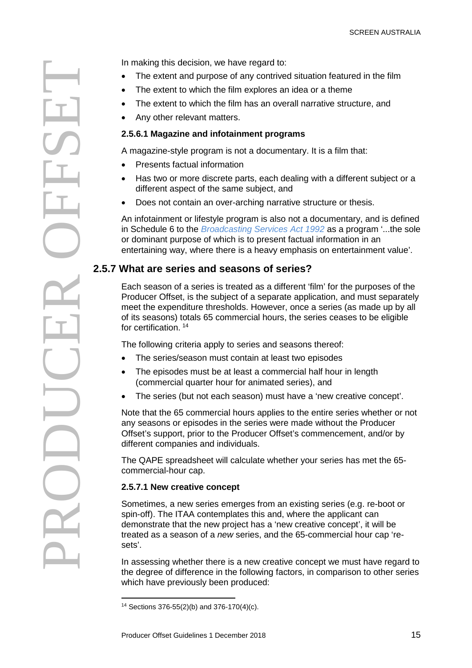In making this decision, we have regard to:<br>
The extent and purpose of any contrive the film has an overally the stand turn of purpose and infortainment program is not a docume.<br>
Any other relevant matters.<br>
2.5.6.1 Magazi

- The extent and purpose of any contrived situation featured in the film
- The extent to which the film explores an idea or a theme
- The extent to which the film has an overall narrative structure, and
- Any other relevant matters.

#### **2.5.6.1 Magazine and infotainment programs**

A magazine-style program is not a documentary. It is a film that:

- Presents factual information
- Has two or more discrete parts, each dealing with a different subject or a different aspect of the same subject, and
- Does not contain an over-arching narrative structure or thesis.

An infotainment or lifestyle program is also not a documentary, and is defined in Schedule 6 to the *[Broadcasting Services Act 1992](http://www.comlaw.gov.au/Details/C2015C00216/Html/Volume_2#_Toc417552844)* as a program '...the sole or dominant purpose of which is to present factual information in an entertaining way, where there is a heavy emphasis on entertainment value'.

#### **2.5.7 What are series and seasons of series?**

Each season of a series is treated as a different 'film' for the purposes of the Producer Offset, is the subject of a separate application, and must separately meet the expenditure thresholds. However, once a series (as made up by all of its seasons) totals 65 commercial hours, the series ceases to be eligible for certification. [14](#page-14-0)

The following criteria apply to series and seasons thereof:

- The series/season must contain at least two episodes
- The episodes must be at least a commercial half hour in length (commercial quarter hour for animated series), and
- The series (but not each season) must have a 'new creative concept'.

Note that the 65 commercial hours applies to the entire series whether or not any seasons or episodes in the series were made without the Producer Offset's support, prior to the Producer Offset's commencement, and/or by different companies and individuals.

The QAPE spreadsheet will calculate whether your series has met the 65 commercial-hour cap.

#### **2.5.7.1 New creative concept**

Sometimes, a new series emerges from an existing series (e.g. re-boot or spin-off). The ITAA contemplates this and, where the applicant can demonstrate that the new project has a 'new creative concept', it will be treated as a season of a *new* series, and the 65-commercial hour cap 'resets'.

<span id="page-14-1"></span>In assessing whether there is a new creative concept we must have regard to the degree of difference in the following factors, in comparison to other series which have previously been produced:

<span id="page-14-0"></span> $\overline{a}$ <sup>14</sup> Sections 376-55(2)(b) and 376-170(4)(c).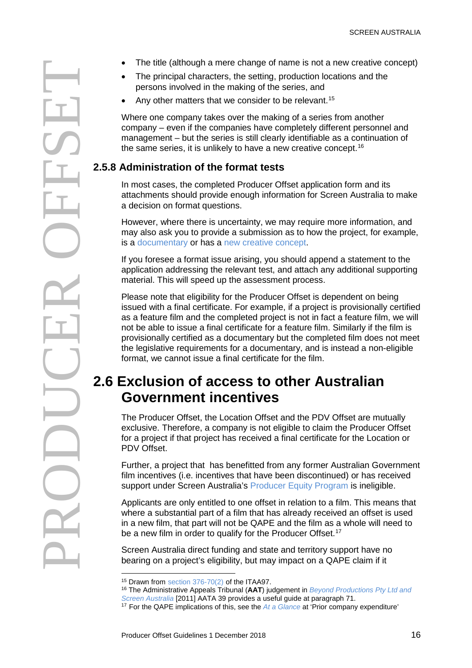- 
- The principal characters, the setting, production locations and the persons involved in the making of the series, and
- Any other matters that we consider to be relevant.<sup>[15](#page-15-2)</sup>

Where one company takes over the making of a series from another company – even if the companies have completely different personnel and management – but the series is still clearly identifiable as a continuation of the same series, it is unlikely to have a new creative concept.<sup>[16](#page-15-3)</sup>

### **2.5.8 Administration of the format tests**

In most cases, the completed Producer Offset application form and its attachments should provide enough information for Screen Australia to make a decision on format questions.

However, where there is uncertainty, we may require more information, and may also ask you to provide a submission as to how the project, for example, is a [documentary](#page-13-1) or has a [new creative concept.](#page-14-1)

If you foresee a format issue arising, you should append a statement to the application addressing the relevant test, and attach any additional supporting material. This will speed up the assessment process.

Please note that eligibility for the Producer Offset is dependent on being issued with a final certificate. For example, if a project is provisionally certified as a feature film and the completed project is not in fact a feature film, we will not be able to issue a final certificate for a feature film. Similarly if the film is provisionally certified as a documentary but the completed film does not meet the legislative requirements for a documentary, and is instead a non-eligible format, we cannot issue a final certificate for the film.

# <span id="page-15-1"></span><span id="page-15-0"></span>**2.6 Exclusion of access to other Australian Government incentives**

The Producer Offset, the Location Offset and the PDV Offset are mutually exclusive. Therefore, a company is not eligible to claim the Producer Offset for a project if that project has received a final certificate for the Location or PDV Offset.

Further, a project that has benefitted from any former Australian Government film incentives (i.e. incentives that have been discontinued) or has received support under Screen Australia's [Producer Equity Program](http://www.screenaustralia.gov.au/producerequity.aspx) is ineligible.

Applicants are only entitled to one offset in relation to a film. This means that where a substantial part of a film that has already received an offset is used in a new film, that part will not be QAPE and the film as a whole will need to be a new film in order to qualify for the Producer Offset.<sup>[17](#page-15-4)</sup>

Screen Australia direct funding and state and territory support have no bearing on a project's eligibility, but may impact on a QAPE claim if it

 $\overline{a}$ <sup>15</sup> Drawn from [section 376-70\(2\)](https://www.comlaw.gov.au/Details/C2015C00285/Html/Volume_7#_Toc423342108) of the ITAA97.

<sup>16</sup> The Administrative Appeals Tribunal (**AAT**) judgement in *[Beyond Productions Pty Ltd and](http://www.austlii.edu.au/au/cases/cth/AATA/2011/39.html)* 

*[Screen Australia](http://www.austlii.edu.au/au/cases/cth/AATA/2011/39.html)* [2011] AATA 39 provides a useful guide at paragraph 71.

<span id="page-15-4"></span><span id="page-15-3"></span><span id="page-15-2"></span><sup>17</sup> For the QAPE implications of this, see the *[At a Glance](http://www.screenaustralia.gov.au/funding-and-support/producer-offset/document-library#ccguides)* at 'Prior company expenditure'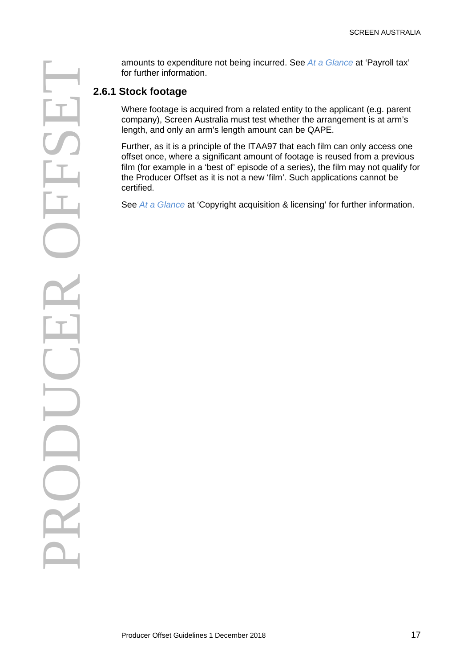for further information.

#### **2.6.1 Stock footage**

Where footage is acquired from a related entity to the applicant (e.g. parent company), Screen Australia must test whether the arrangement is at arm's length, and only an arm's length amount can be QAPE.

Further, as it is a principle of the ITAA97 that each film can only access one offset once, where a significant amount of footage is reused from a previous film (for example in a 'best of' episode of a series), the film may not qualify for the Producer Offset as it is not a new 'film'. Such applications cannot be certified.

See *[At a Glance](http://www.screenaustralia.gov.au/funding-and-support/producer-offset/document-library#ccguides)* at 'Copyright acquisition & licensing' for further information.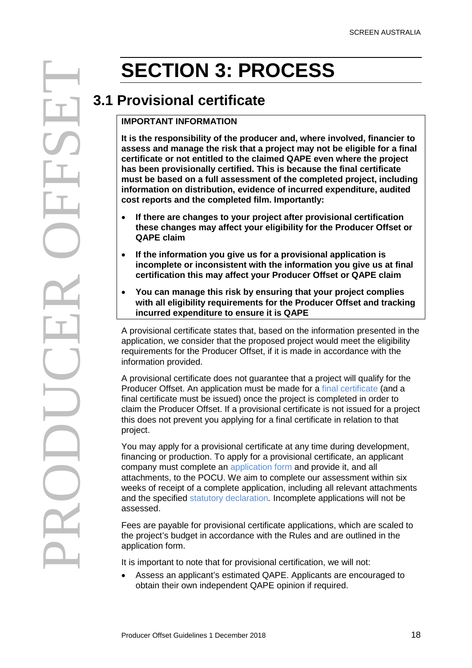# <span id="page-17-1"></span><span id="page-17-0"></span>**3.1 Provisional certificate**

#### **IMPORTANT INFORMATION**

**It is the responsibility of the producer and, where involved, financier to assess and manage the risk that a project may not be eligible for a final certificate or not entitled to the claimed QAPE even where the project has been provisionally certified. This is because the final certificate must be based on a full assessment of the completed project, including information on distribution, evidence of incurred expenditure, audited cost reports and the completed film. Importantly:**

- **If there are changes to your project after provisional certification these changes may affect your eligibility for the Producer Offset or QAPE claim**
- **If the information you give us for a provisional application is incomplete or inconsistent with the information you give us at final certification this may affect your Producer Offset or QAPE claim**
- **You can manage this risk by ensuring that your project complies with all eligibility requirements for the Producer Offset and tracking incurred expenditure to ensure it is QAPE**

<span id="page-17-2"></span>A provisional certificate states that, based on the information presented in the application, we consider that the proposed project would meet the eligibility requirements for the Producer Offset, if it is made in accordance with the information provided.

A provisional certificate does not guarantee that a project will qualify for the Producer Offset. An application must be made for a [final certificate](#page-18-1) (and a final certificate must be issued) once the project is completed in order to claim the Producer Offset. If a provisional certificate is not issued for a project this does not prevent you applying for a final certificate in relation to that project.

You may apply for a provisional certificate at any time during development, financing or production. To apply for a provisional certificate, an applicant company must complete an [application form](http://www.screenaustralia.gov.au/funding-and-support/producer-offset/document-library#ccforms) and provide it, and all attachments, to the POCU. We aim to complete our assessment within six weeks of receipt of a complete application, including all relevant attachments and the specified [statutory declaration](#page-20-1)*.* Incomplete applications will not be assessed.

Fees are payable for provisional certificate applications, which are scaled to the project's budget in accordance with the Rules and are outlined in the application form.

It is important to note that for provisional certification, we will not:

• Assess an applicant's estimated QAPE. Applicants are encouraged to obtain their own independent QAPE opinion if required.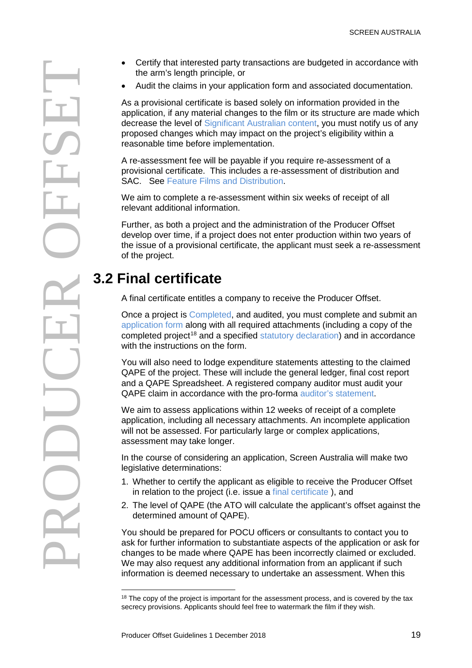- the arm's length principle, or
- Audit the claims in your application form and associated documentation.

As a provisional certificate is based solely on information provided in the application, if any material changes to the film or its structure are made which decrease the level of [Significant Australian content,](#page-5-2) you must notify us of any proposed changes which may impact on the project's eligibility within a reasonable time before implementation.

A re-assessment fee will be payable if you require re-assessment of a provisional certificate. This includes a re-assessment of distribution and SAC. See [Feature Films and Distribution.](#page-12-0)

We aim to complete a re-assessment within six weeks of receipt of all relevant additional information.

Further, as both a project and the administration of the Producer Offset develop over time, if a project does not enter production within two years of the issue of a provisional certificate, the applicant must seek a re-assessment of the project.

# <span id="page-18-0"></span>**3.2 Final certificate**

<span id="page-18-1"></span>A final certificate entitles a company to receive the Producer Offset.

Once a project is [Completed,](#page-9-2) and audited, you must complete and submit an [application form](http://www.screenaustralia.gov.au/funding-and-support/producer-offset/document-library#ccforms) along with all required attachments (including a copy of the completed project<sup>18</sup> and a specified [statutory declaration\)](#page-20-1) and in accordance with the instructions on the form.

You will also need to lodge expenditure statements attesting to the claimed QAPE of the project. These will include the general ledger, final cost report and a QAPE Spreadsheet. A registered company auditor must audit your QAPE claim in accordance with the pro-forma [auditor's statement.](http://www.screenaustralia.gov.au/funding-and-support/producer-offset/document-library#ccforms)

We aim to assess applications within 12 weeks of receipt of a complete application, including all necessary attachments. An incomplete application will not be assessed. For particularly large or complex applications, assessment may take longer.

In the course of considering an application, Screen Australia will make two legislative determinations:

- 1. Whether to certify the applicant as eligible to receive the Producer Offset in relation to the project (i.e. issue a [final certificate](#page-18-1) ), and
- 2. The level of QAPE (the ATO will calculate the applicant's offset against the determined amount of QAPE).

You should be prepared for POCU officers or consultants to contact you to ask for further information to substantiate aspects of the application or ask for changes to be made where QAPE has been incorrectly claimed or excluded. We may also request any additional information from an applicant if such information is deemed necessary to undertake an assessment. When this

<span id="page-18-2"></span> $\overline{a}$  $18$  The copy of the project is important for the assessment process, and is covered by the tax secrecy provisions. Applicants should feel free to watermark the film if they wish.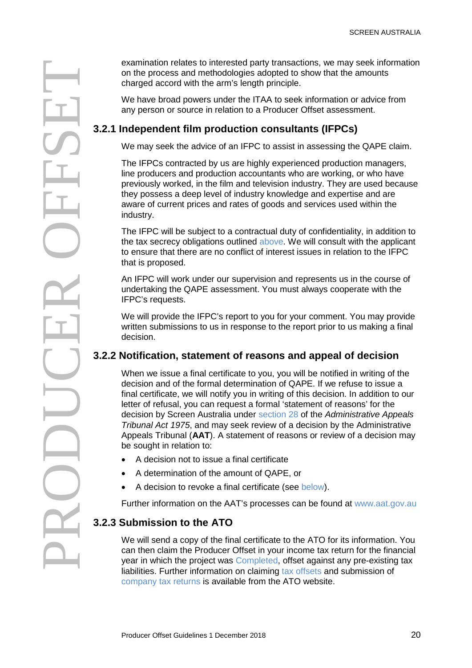on the process and methodologies adopted to show that the amounts charged accord with the arm's length principle.

We have broad powers under the ITAA to seek information or advice from any person or source in relation to a Producer Offset assessment.

### **3.2.1 Independent film production consultants (IFPCs)**

We may seek the advice of an IFPC to assist in assessing the QAPE claim.

The IFPCs contracted by us are highly experienced production managers, line producers and production accountants who are working, or who have previously worked, in the film and television industry. They are used because they possess a deep level of industry knowledge and expertise and are aware of current prices and rates of goods and services used within the industry.

The IFPC will be subject to a contractual duty of confidentiality, in addition to the tax secrecy obligations outlined [above.](#page-4-0) We will consult with the applicant to ensure that there are no conflict of interest issues in relation to the IFPC that is proposed.

An IFPC will work under our supervision and represents us in the course of undertaking the QAPE assessment. You must always cooperate with the IFPC's requests.

We will provide the IFPC's report to you for your comment. You may provide written submissions to us in response to the report prior to us making a final decision.

### **3.2.2 Notification, statement of reasons and appeal of decision**

examination relates to interested party transactions, we may seek information<br>on the process and methodologies adopted to show that the amounts<br>the amounts of the amounts of the amount sight principle.<br>
We may seek the add When we issue a final certificate to you, you will be notified in writing of the decision and of the formal determination of QAPE. If we refuse to issue a final certificate, we will notify you in writing of this decision. In addition to our letter of refusal, you can request a formal 'statement of reasons' for the decision by Screen Australia under [section 28](http://www.comlaw.gov.au/Details/C2014C00742/Html/Text#_Toc402786262) of the *Administrative Appeals Tribunal Act 1975*, and may seek review of a decision by the Administrative Appeals Tribunal (**AAT**). A statement of reasons or review of a decision may be sought in relation to:

- A decision not to issue a final certificate
- A determination of the amount of QAPE, or
- A decision to revoke a final certificate (see [below\)](#page-20-2).

Further information on the AAT's processes can be found at [www.aat.gov.au](http://www.aat.gov.au/)

### **3.2.3 Submission to the ATO**

We will send a copy of the final certificate to the ATO for its information. You can then claim the Producer Offset in your income tax return for the financial year in which the project was [Completed,](#page-9-2) offset against any pre-existing tax liabilities. Further information on claiming [tax offsets](https://www.ato.gov.au/individuals/tax-return/2015/in-detail/publications/film-industry-incentives-2014-15/?page=6#Claiming_a_film_tax_offset) and submission of [company tax returns](https://www.ato.gov.au/Tax-professionals/Prepare-and-lodge/Tax-agent-lodgment-program/Tax-returns-by-client-type/Companies-and-super-funds/) is available from the ATO website.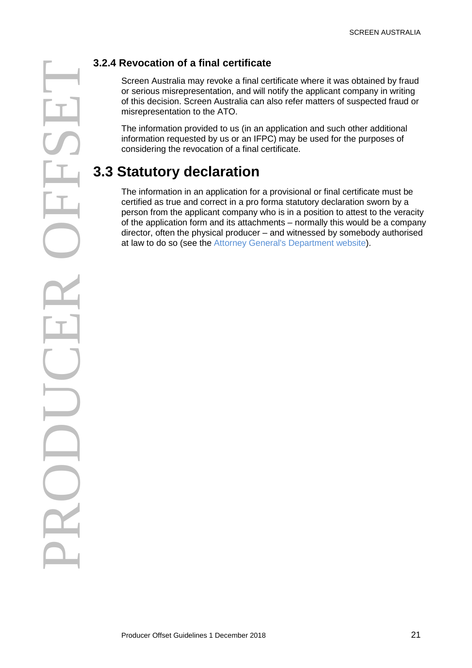<span id="page-20-2"></span>Screen Australia may revoke a final certificate where it was obtained by fraud or serious misrepresentation, and will notify the applicant company in writing of this decision. Screen Australia can also refer matters of suspected fraud or misrepresentation to the ATO.

The information provided to us (in an application and such other additional information requested by us or an IFPC) may be used for the purposes of considering the revocation of a final certificate.

# <span id="page-20-0"></span>**3.3 Statutory declaration**

<span id="page-20-1"></span>The information in an application for a provisional or final certificate must be certified as true and correct in a pro forma statutory declaration sworn by a person from the applicant company who is in a position to attest to the veracity of the application form and its attachments – normally this would be a company director, often the physical producer – and witnessed by somebody authorised at law to do so (see the [Attorney General's Department website\)](http://www.ag.gov.au/Publications/Pages/Statutorydeclarationsignatorylist.aspx).